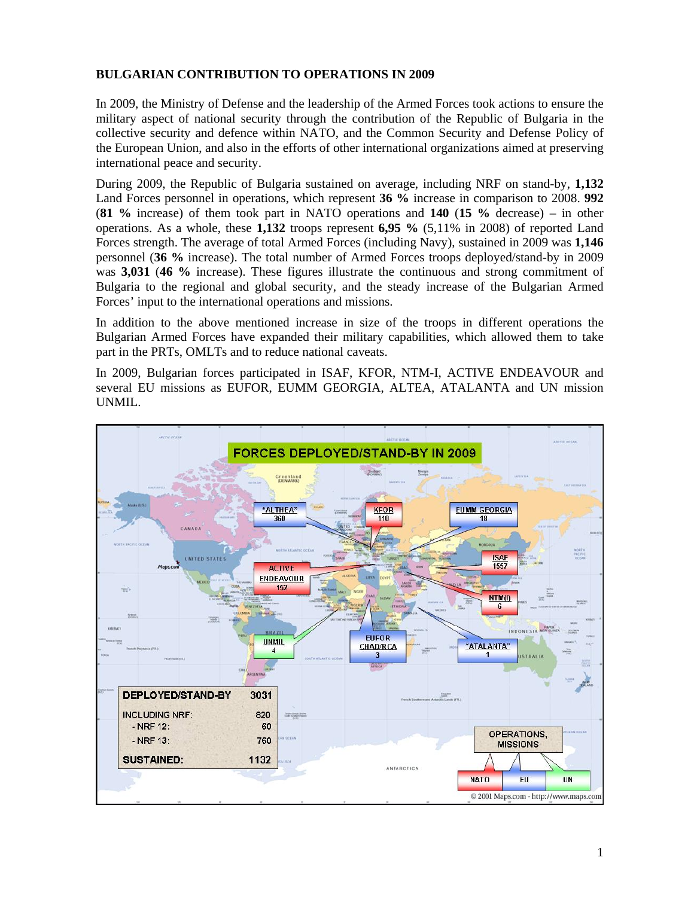## **BULGARIAN CONTRIBUTION TO OPERATIONS IN 2009**

In 2009, the Ministry of Defense and the leadership of the Armed Forces took actions to ensure the military aspect of national security through the contribution of the Republic of Bulgaria in the collective security and defence within NATO, and the Common Security and Defense Policy of the European Union, and also in the efforts of other international organizations aimed at preserving international peace and security.

During 2009, the Republic of Bulgaria sustained on average, including NRF on stand-by, **1,132**  Land Forces personnel in operations, which represent **36 %** increase in comparison to 2008. **992** (**81 %** increase) of them took part in NATO operations and **140** (**15 %** decrease) – in other operations. As a whole, these **1,132** troops represent **6,95 %** (5,11% in 2008) of reported Land Forces strength. The average of total Armed Forces (including Navy), sustained in 2009 was **1,146** personnel (**36 %** increase). The total number of Armed Forces troops deployed/stand-by in 2009 was **3,031** (**46 %** increase). These figures illustrate the continuous and strong commitment of Bulgaria to the regional and global security, and the steady increase of the Bulgarian Armed Forces' input to the international operations and missions.

In addition to the above mentioned increase in size of the troops in different operations the Bulgarian Armed Forces have expanded their military capabilities, which allowed them to take part in the PRTs, OMLTs and to reduce national caveats.

In 2009, Bulgarian forces participated in ISAF, KFOR, NTM-I, ACTIVE ENDEAVOUR and several EU missions as EUFOR, EUMM GEORGIA, ALTEA, ATALANTA and UN mission UNMIL.